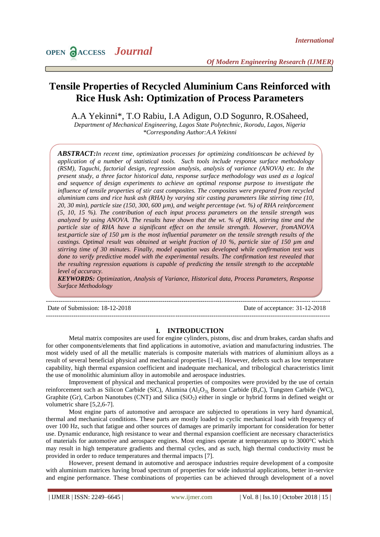# **Tensile Properties of Recycled Aluminium Cans Reinforced with Rice Husk Ash: Optimization of Process Parameters**

A.A Yekinni\*, T.O Rabiu, I.A Adigun, O.D Sogunro, R.OSaheed,

*Department of Mechanical Engineering, Lagos State Polytechnic, Ikorodu, Lagos, Nigeria \*Corresponding Author:A.A Yekinni*

*ABSTRACT:In recent time, optimization processes for optimizing conditionscan be achieved by application of a number of statistical tools. Such tools include response surface methodology (RSM), Taguchi, factorial design, regression analysis, analysis of variance (ANOVA) etc. In the present study, a three factor historical data, response surface methodology was used as a logical and sequence of design experiments to achieve an optimal response purpose to investigate the influence of tensile properties of stir cast composites. The composites were prepared from recycled aluminium cans and rice husk ash (RHA) by varying stir casting parameters like stirring time (10, 20, 30 min), particle size (150, 300, 600 µm), and weight percentage (wt. %) of RHA reinforcement (5, 10, 15 %). The contribution of each input process parameters on the tensile strength was analyzed by using ANOVA. The results have shown that the wt. % of RHA, stirring time and the particle size of RHA have a significant effect on the tensile strength. However, fromANOVA test,particle size of 150 µm is the most influential parameter on the tensile strength results of the castings. Optimal result was obtained at weight fraction of 10 %, particle size of 150 µm and stirring time of 30 minutes. Finally, model equation was developed while confirmation test was done to verify predictive model with the experimental results. The confirmation test revealed that the resulting regression equations is capable of predicting the tensile strength to the acceptable level of accuracy.*

*KEYWORDS: Optimization, Analysis of Variance, Historical data, Process Parameters, Response Surface Methodology*

--------------------------------------------------------------------------------------------------------------------------------------

--------------------------------------------------------------------------------------------------------------------------------------

Date of Submission: 18-12-2018 Date of acceptance: 31-12-2018

# **I. INTRODUCTION**

Metal matrix composites are used for engine cylinders, pistons, disc and drum brakes, cardan shafts and for other components/elements that find applications in automotive, aviation and manufacturing industries. The most widely used of all the metallic materials is composite materials with matrices of aluminium alloys as a result of several beneficial physical and mechanical properties [1-4]. However, defects such as low temperature capability, high thermal expansion coefficient and inadequate mechanical, and tribological characteristics limit the use of monolithic aluminium alloy in automobile and aerospace industries.

Improvement of physical and mechanical properties of composites were provided by the use of certain reinforcement such as Silicon Carbide (SiC), Alumina  $(A<sub>2</sub>O<sub>3</sub>)$ , Boron Carbide (B<sub>4</sub>C), Tungsten Carbide (WC), Graphite (Gr), Carbon Nanotubes (CNT) and Silica (SiO<sub>2</sub>) either in single or hybrid forms in defined weight or volumetric share [5,2,6-7].

Most engine parts of automotive and aerospace are subjected to operations in very hard dynamical, thermal and mechanical conditions. These parts are mostly loaded to cyclic mechanical load with frequency of over 100 Hz, such that fatigue and other sources of damages are primarily important for consideration for better use. Dynamic endurance, high resistance to wear and thermal expansion coefficient are necessary characteristics of materials for automotive and aerospace engines. Most engines operate at temperatures up to 3000°C which may result in high temperature gradients and thermal cycles, and as such, high thermal conductivity must be provided in order to reduce temperatures and thermal impacts [7].

However, present demand in automotive and aerospace industries require development of a composite with aluminium matrices having broad spectrum of properties for wide industrial applications, better in-service and engine performance. These combinations of properties can be achieved through development of a novel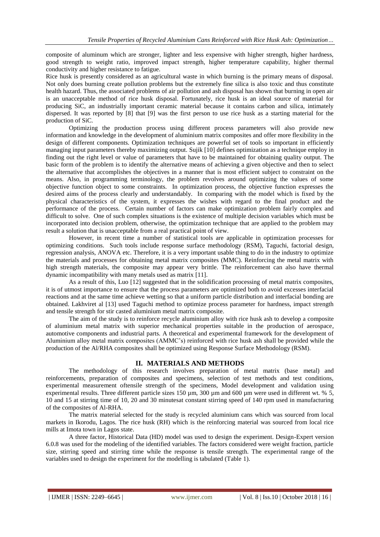composite of aluminum which are stronger, lighter and less expensive with higher strength, higher hardness, good strength to weight ratio, improved impact strength, higher temperature capability, higher thermal conductivity and higher resistance to fatigue.

Rice husk is presently considered as an agricultural waste in which burning is the primary means of disposal. Not only does burning create pollution problems but the extremely fine silica is also toxic and thus constitute health hazard. Thus, the associated problems of air pollution and ash disposal has shown that burning in open air is an unacceptable method of rice husk disposal. Fortunately, rice husk is an ideal source of material for producing SiC, an industrially important ceramic material because it contains carbon and silica, intimately dispersed. It was reported by [8] that [9] was the first person to use rice husk as a starting material for the production of SiC.

Optimizing the production process using different process parameters will also provide new information and knowledge in the development of aluminium matrix composites and offer more flexibility in the design of different components. Optimization techniques are powerful set of tools so important in efficiently managing input parameters thereby maximizing output. Sujik [10] defines optimization as a technique employ in finding out the right level or value of parameters that have to be maintained for obtaining quality output. The basic form of the problem is to identify the alternative means of achieving a given objective and then to select the alternative that accomplishes the objectives in a manner that is most efficient subject to constraint on the means. Also, in programming terminology, the problem revolves around optimizing the values of some objective function object to some constraints. In optimization process, the objective function expresses the desired aims of the process clearly and understandably. In comparing with the model which is fixed by the physical characteristics of the system, it expresses the wishes with regard to the final product and the performance of the process. Certain number of factors can make optimization problem fairly complex and difficult to solve. One of such complex situations is the existence of multiple decision variables which must be incorporated into decision problem, otherwise, the optimization technique that are applied to the problem may result a solution that is unacceptable from a real practical point of view.

However, in recent time a number of statistical tools are applicable in optimization processes for optimizing conditions. Such tools include response surface methodology (RSM), Taguchi, factorial design, regression analysis, ANOVA etc. Therefore, it is a very important usable thing to do in the industry to optimize the materials and processes for obtaining metal matrix composites (MMC). Reinforcing the metal matrix with high strength materials, the composite may appear very brittle. The reinforcement can also have thermal dynamic incompatibility with many metals used as matrix [11].

As a result of this, Luo [12] suggested that in the solidification processing of metal matrix composites, it is of utmost importance to ensure that the process parameters are optimized both to avoid excesses interfacial reactions and at the same time achieve wetting so that a uniform particle distribution and interfacial bonding are obtained. Lakhviret al [13] used Taguchi method to optimize process parameter for hardness, impact strength and tensile strength for stir casted aluminium metal matrix composite.

The aim of the study is to reinforce recycle aluminium alloy with rice husk ash to develop a composite of aluminium metal matrix with superior mechanical properties suitable in the production of aerospace, automotive components and industrial parts. A theoretical and experimental framework for the development of Aluminium alloy metal matrix composites (AMMC's) reinforced with rice husk ash shall be provided while the production of the Al/RHA composites shall be optimized using Response Surface Methodology (RSM).

# **II. MATERIALS AND METHODS**

The methodology of this research involves preparation of metal matrix (base metal) and reinforcements, preparation of composites and specimens, selection of test methods and test conditions, experimental measurement oftensile strength of the specimens, Model development and validation using experimental results. Three different particle sizes 150 µm, 300 µm and 600 µm were used in different wt. % 5, 10 and 15 at stirring time of 10, 20 and 30 minutesat constant stirring speed of 140 rpm used in manufacturing of the composites of Al-RHA.

The matrix material selected for the study is recycled aluminium cans which was sourced from local markets in Ikorodu, Lagos. The rice husk (RH) which is the reinforcing material was sourced from local rice mills at Imota town in Lagos state.

A three factor, Historical Data (HD) model was used to design the experiment. Design-Expert version 6.0.8 was used for the modeling of the identified variables. The factors considered were weight fraction, particle size, stirring speed and stirring time while the response is tensile strength. The experimental range of the variables used to design the experiment for the modelling is tabulated (Table 1).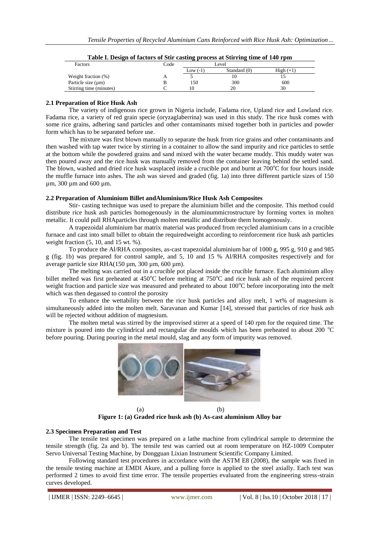| Factors                 | Code | .          | Level        |             |
|-------------------------|------|------------|--------------|-------------|
|                         |      | Low $(-1)$ | Standard (0) | $High (+1)$ |
| Weight fraction (%)     |      |            | 10           |             |
| Particle size $(\mu m)$ |      | 150        | 300          | 600         |
| Stirring time (minutes) |      | 10         | 20           | 30          |

| Table I. Design of factors of Stir casting process at Stirring time of 140 rpm |  |  |
|--------------------------------------------------------------------------------|--|--|
|                                                                                |  |  |

# **2.1 Preparation of Rice Husk Ash**

The variety of indigenous rice grown in Nigeria include, Fadama rice, Upland rice and Lowland rice. Fadama rice, a variety of red grain specie (oryzaglaberrina) was used in this study. The rice husk comes with some rice grains, adhering sand particles and other contaminants mixed together both in particles and powder form which has to be separated before use.

The mixture was first blown manually to separate the husk from rice grains and other contaminants and then washed with tap water twice by stirring in a container to allow the sand impurity and rice particles to settle at the bottom while the powdered grains and sand mixed with the water became muddy. This muddy water was then poured away and the rice husk was manually removed from the container leaving behind the settled sand. The blown, washed and dried rice husk wasplaced inside a crucible pot and burnt at  $700^{\circ}$ C for four hours inside the muffle furnace into ashes. The ash was sieved and graded (fig. 1a) into three different particle sizes of 150 µm, 300 µm and 600 µm.

#### **2.2 Preparation of Aluminium Billet andAluminium/Rice Husk Ash Composites**

Stir- casting technique was used to prepare the aluminium billet and the composite. This method could distribute rice husk ash particles homogenously in the aluminummicrostructure by forming vortex in molten metallic. It could pull RHAparticles through molten metallic and distribute them homogenously.

A trapezoidal aluminium bar matrix material was produced from recycled aluminium cans in a crucible furnace and cast into small billet to obtain the requiredweight according to reinforcement rice husk ash particles weight fraction (5, 10, and 15 wt. %).

To produce the Al/RHA composites, as-cast trapezoidal aluminium bar of 1000 g, 995 g, 910 g and 985 g (fig. 1b) was prepared for control sample, and 5, 10 and 15 % Al/RHA composites respectively and for average particle size RHA(150 µm, 300 µm, 600 µm).

The melting was carried out in a crucible pot placed inside the crucible furnace. Each aluminium alloy billet melted was first preheated at  $450^{\circ}$ C before melting at  $750^{\circ}$ C and rice husk ash of the required percent weight fraction and particle size was measured and preheated to about  $100^{\circ}$ C before incorporating into the melt which was then degassed to control the porosity

To enhance the wettability between the rice husk particles and alloy melt, 1 wt% of magnesium is simultaneously added into the molten melt. Saravanan and Kumar [14], stressed that particles of rice husk ash will be rejected without addition of magnesium.

The molten metal was stirred by the improvised stirrer at a speed of 140 rpm for the required time. The mixture is poured into the cylindrical and rectangular die moulds which has been preheated to about 200 °C before pouring. During pouring in the metal mould, slag and any form of impurity was removed.



(a) (b) **Figure 1: (a) Graded rice husk ash (b) As-cast aluminium Alloy bar**

# **2.3 Specimen Preparation and Test**

The tensile test specimen was prepared on a lathe machine from cylindrical sample to determine the tensile strength (fig. 2a and b). The tensile test was carried out at room temperature on HZ-1009 Computer Servo Universal Testing Machine, by Dongguan Lixian Instrument Scientific Company Limited.

Following standard test procedures in accordance with the ASTM E8 (2008), the sample was fixed in the tensile testing machine at EMDI Akure, and a pulling force is applied to the steel axially. Each test was performed 2 times to avoid first time error. The tensile properties evaluated from the engineering stress-strain curves developed.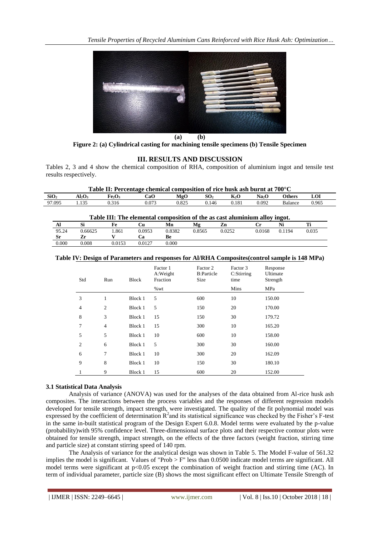

**Figure 2: (a) Cylindrical casting for machining tensile specimens (b) Tensile Specimen**

# **III. RESULTS AND DISCUSSION**

Tables 2, 3 and 4 show the chemical composition of RHA, composition of aluminium ingot and tensile test results respectively.

| Table II: Percentage chemical composition of rice husk ash burnt at 700°C |           |                                |       |       |       |       |       |                |       |
|---------------------------------------------------------------------------|-----------|--------------------------------|-------|-------|-------|-------|-------|----------------|-------|
| SiO <sub>2</sub>                                                          | $Al_2O_3$ | Fe <sub>2</sub> O <sub>3</sub> | CaO   | MgO   | SO2   | K2O   | Na2O  | <b>Others</b>  | LOI   |
| 97.095                                                                    | 135       | 0.316                          | 0.073 | 0.825 | 0.146 | 0.181 | 0.092 | <b>Balance</b> | 0.965 |
|                                                                           |           |                                |       |       |       |       |       |                |       |

| Table III: The elemental composition of the as cast aluminium alloy ingot. |         |        |        |        |        |        |        |        |       |
|----------------------------------------------------------------------------|---------|--------|--------|--------|--------|--------|--------|--------|-------|
| Al                                                                         |         | Fe     | ેu     | Mn     | Mg     | Zn     |        |        |       |
| 95.24                                                                      | 0.66625 | .861   | 0.0953 | 0.8382 | 0.8565 | 0.0252 | 0.0168 | 0.1194 | 0.035 |
| Sr                                                                         | Zr      |        | Ľа     | Be     |        |        |        |        |       |
| 0.000                                                                      | 0.008   | 0.0153 | 0.0127 | 0.000  |        |        |        |        |       |

# **Table IV: Design of Parameters and responses for Al/RHA Composites(control sample is 148 MPa)**

| Std            | Run            | <b>Block</b> | Factor 1<br>A:Weight<br>Fraction | Factor 2<br><b>B:Particle</b><br>Size | Factor 3<br>C:Stirring<br>time | Response<br>Ultimate<br>Strength |
|----------------|----------------|--------------|----------------------------------|---------------------------------------|--------------------------------|----------------------------------|
|                |                |              | %wt                              |                                       | Mins                           | MPa                              |
| 3              | 1              | Block 1      | 5                                | 600                                   | 10                             | 150.00                           |
| 4              | $\overline{2}$ | Block 1      | 5                                | 150                                   | 20                             | 170.00                           |
| 8              | 3              | Block 1      | 15                               | 150                                   | 30                             | 179.72                           |
| 7              | $\overline{4}$ | Block 1      | 15                               | 300                                   | 10                             | 165.20                           |
| 5              | 5              | Block 1      | 10                               | 600                                   | 10                             | 158.00                           |
| $\overline{2}$ | 6              | Block 1      | 5                                | 300                                   | 30                             | 160.00                           |
| 6              | 7              | Block 1      | 10                               | 300                                   | 20                             | 162.09                           |
| 9              | 8              | Block 1      | 10                               | 150                                   | 30                             | 180.10                           |
|                | 9              | Block 1      | 15                               | 600                                   | 20                             | 152.00                           |

# **3.1 Statistical Data Analysis**

Analysis of variance (ANOVA) was used for the analyses of the data obtained from Al-rice husk ash composites. The interactions between the process variables and the responses of different regression models developed for tensile strength, impact strength, were investigated. The quality of the fit polynomial model was expressed by the coefficient of determination  $R^2$  and its statistical significance was checked by the Fisher's F-test in the same in-built statistical program of the Design Expert 6.0.8. Model terms were evaluated by the p-value (probability)with 95% confidence level. Three-dimensional surface plots and their respective contour plots were obtained for tensile strength, impact strength, on the effects of the three factors (weight fraction, stirring time and particle size) at constant stirring speed of 140 rpm.

The Analysis of variance for the analytical design was shown in Table 5. The Model F-value of 561.32 implies the model is significant. Values of "Prob > F" less than 0.0500 indicate model terms are significant. All model terms were significant at  $p<0.05$  except the combination of weight fraction and stirring time (AC). In term of individual parameter, particle size (B) shows the most significant effect on Ultimate Tensile Strength of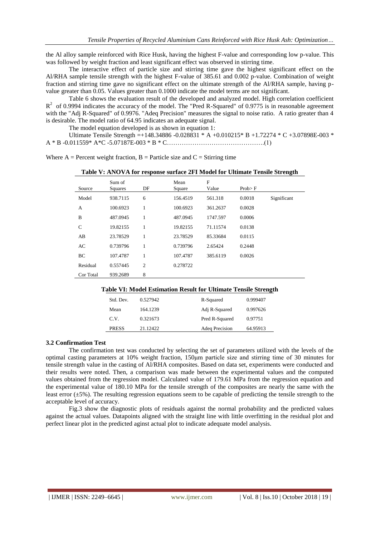the Al alloy sample reinforced with Rice Husk, having the highest F-value and corresponding low p-value. This was followed by weight fraction and least significant effect was observed in stirring time.

The interactive effect of particle size and stirring time gave the highest significant effect on the Al/RHA sample tensile strength with the highest F-value of 385.61 and 0.002 p-value. Combination of weight fraction and stirring time gave no significant effect on the ultimate strength of the Al/RHA sample, having pvalue greater than 0.05. Values greater than 0.1000 indicate the model terms are not significant.

Table 6 shows the evaluation result of the developed and analyzed model. High correlation coefficient  $R<sup>2</sup>$  of 0.9994 indicates the accuracy of the model. The "Pred R-Squared" of 0.9775 is in reasonable agreement with the "Adj R-Squared" of 0.9976. "Adeq Precision" measures the signal to noise ratio. A ratio greater than 4 is desirable. The model ratio of 64.95 indicates an adequate signal.

The model equation developed is as shown in equation 1:

Ultimate Tensile Strength =+148.34886 -0.028831 \* A +0.010215\* B +1.72274 \* C +3.07898E-003 \*  $A * B - 0.011559 * A * C - 5.07187E - 003 * B * C \dots (1)$ 

| Where $A =$ Percent weight fraction, $B =$ Particle size and $C =$ Stirring time |  |  |  |  |
|----------------------------------------------------------------------------------|--|--|--|--|
|                                                                                  |  |  |  |  |

| Source       | Sum of<br>Squares | DF             | Mean<br>Square | F<br>Value | Prob > F |             |
|--------------|-------------------|----------------|----------------|------------|----------|-------------|
| Model        | 938.7115          | 6              | 156.4519       | 561.318    | 0.0018   | Significant |
| A            | 100.6923          | 1              | 100.6923       | 361.2637   | 0.0028   |             |
| B            | 487.0945          | 1              | 487.0945       | 1747.597   | 0.0006   |             |
| $\mathsf{C}$ | 19.82155          | 1              | 19.82155       | 71.11574   | 0.0138   |             |
| AB           | 23.78529          | 1              | 23.78529       | 85.33684   | 0.0115   |             |
| AC           | 0.739796          | 1              | 0.739796       | 2.65424    | 0.2448   |             |
| BC           | 107.4787          | 1              | 107.4787       | 385.6119   | 0.0026   |             |
| Residual     | 0.557445          | $\overline{c}$ | 0.278722       |            |          |             |
| Cor Total    | 939.2689          | 8              |                |            |          |             |

#### **Table VI: Model Estimation Result for Ultimate Tensile Strength**

| Std. Dev.    | 0.527942 | R-Squared      | 0.999407 |
|--------------|----------|----------------|----------|
| Mean         | 164.1239 | Adj R-Squared  | 0.997626 |
| C.V.         | 0.321673 | Pred R-Squared | 0.97751  |
| <b>PRESS</b> | 21.12422 | Adeq Precision | 64.95913 |

#### **3.2 Confirmation Test**

The confirmation test was conducted by selecting the set of parameters utilized with the levels of the optimal casting parameters at 10% weight fraction, 150μm particle size and stirring time of 30 minutes for tensile strength value in the casting of Al/RHA composites. Based on data set, experiments were conducted and their results were noted. Then, a comparison was made between the experimental values and the computed values obtained from the regression model. Calculated value of 179.61 MPa from the regression equation and the experimental value of 180.10 MPa for the tensile strength of the composites are nearly the same with the least error  $(\pm 5\%)$ . The resulting regression equations seem to be capable of predicting the tensile strength to the acceptable level of accuracy.

Fig.3 show the diagnostic plots of residuals against the normal probability and the predicted values against the actual values. Datapoints aligned with the straight line with little overfitting in the residual plot and perfect linear plot in the predicted aginst actual plot to indicate adequate model analysis.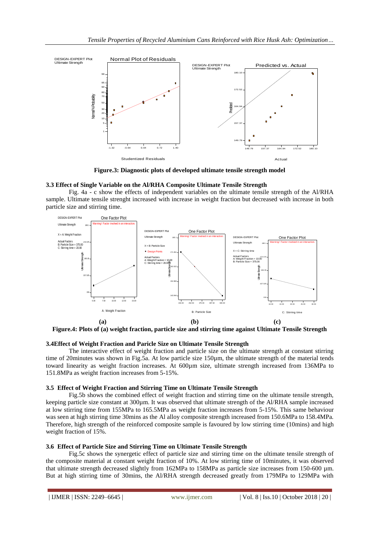

**Figure.3: Diagnostic plots of developed ultimate tensile strength model**

#### **3.3 Effect of Single Variable on the Al/RHA Composite Ultimate Tensile Strength**

Fig. 4a - c show the effects of independent variables on the ultimate tensile strength of the Al/RHA sample. Ultimate tensile strenght increased with increase in weight fraction but decreased with increase in both particle size and stirring time.



**Figure.4: Plots of (a) weight fraction, particle size and stirring time against Ultimate Tensile Strength**

#### **3.4Effect of Weight Fraction and Paricle Size on Ultimate Tensile Strength**

The interactive effect of weight fraction and particle size on the ultimate strength at constant stirring time of 20minutes was shown in Fig.5a. At low particle size 150µm, the ultimate strength of the material tends toward linearity as weight fraction increases. At 600µm size, ultimate strength increased from 136MPa to 151.8MPa as weight fraction increases from 5-15%.

#### **3.5 Effect of Weight Fraction and Stirring Time on Ultimate Tensile Strength**

Fig.5b shows the combined effect of weight fraction and stirring time on the ultimate tensile strength, keeping particle size constant at 300µm. It was observed that ultimate strength of the Al/RHA sample increased at low stirring time from 155MPa to 165.5MPa as weight fraction increases from 5-15%. This same behaviour was seen at high stirring time 30mins as the Al alloy composite strength increased from 150.6MPa to 158.4MPa. Therefore, high strength of the reinforced composite sample is favoured by low stirring time (10mins) and high weight fraction of 15%.

# **3.6 Effect of Particle Size and Stirring Time on Ultimate Tensile Strength**

Fig.5c shows the synergetic effect of particle size and stirring time on the ultimate tensile strength of the composite material at constant weight fraction of 10%. At low stirring time of 10minutes, it was observed that ultimate strength decreased slightly from 162MPa to 158MPa as particle size increases from 150-600 µm. But at high stirring time of 30mins, the Al/RHA strength decreased greatly from 179MPa to 129MPa with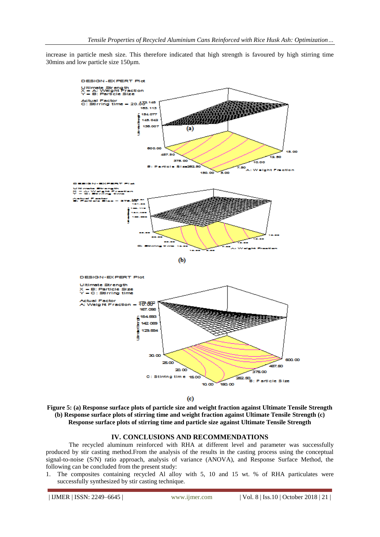increase in particle mesh size. This therefore indicated that high strength is favoured by high stirring time 30mins and low particle size 150µm.



 $\left( \mathrm{c} \right)$ 

**Figure 5: (a) Response surface plots of particle size and weight fraction against Ultimate Tensile Strength (b) Response surface plots of stirring time and weight fraction against Ultimate Tensile Strength (c) Response surface plots of stirring time and particle size against Ultimate Tensile Strength**

# **IV. CONCLUSIONS AND RECOMMENDATIONS**

The recycled aluminum reinforced with RHA at different level and parameter was successfully produced by stir casting method.From the analysis of the results in the casting process using the conceptual signal-to-noise (S/N) ratio approach, analysis of variance (ANOVA), and Response Surface Method, the following can be concluded from the present study:

1. The composites containing recycled Al alloy with 5, 10 and 15 wt. % of RHA particulates were successfully synthesized by stir casting technique.